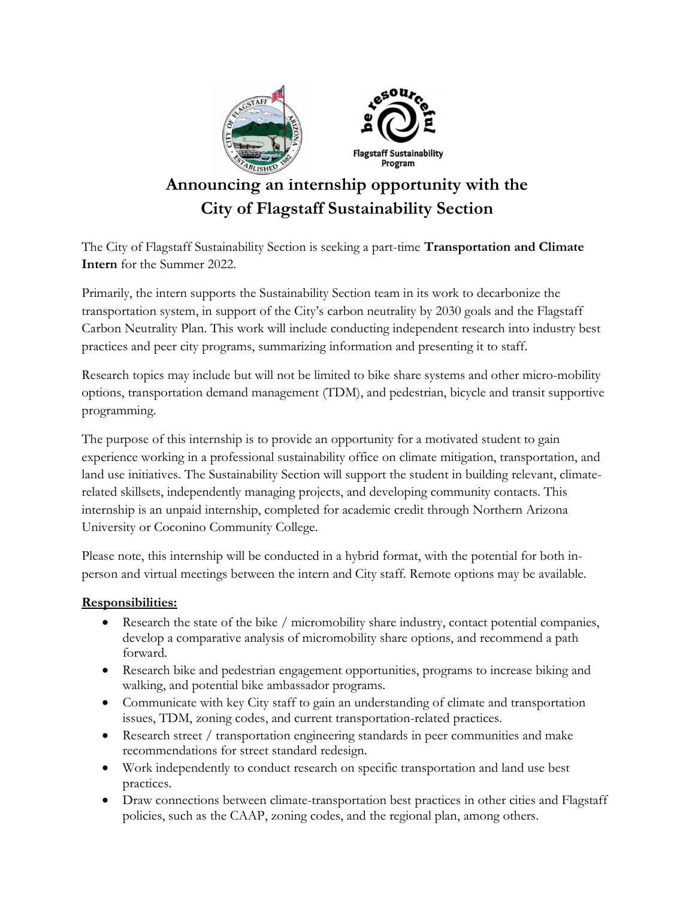

# Announcing an internship opportunity with the City of Flagstaff Sustainability Section

The City of Flagstaff Sustainability Section is seeking a part-time Transportation and Climate Intern for the Summer 2022.

Primarily, the intern supports the Sustainability Section team in its work to decarbonize the transportation system, in support of the City's carbon neutrality by 2030 goals and the Flagstaff Carbon Neutrality Plan. This work will include conducting independent research into industry best practices and peer city programs, summarizing information and presenting it to staff.

Research topics may include but will not be limited to bike share systems and other micro-mobility options, transportation demand management (TDM), and pedestrian, bicycle and transit supportive programming.

The purpose of this internship is to provide an opportunity for a motivated student to gain experience working in a professional sustainability office on climate mitigation, transportation, and land use initiatives. The Sustainability Section will support the student in building relevant, climaterelated skillsets, independently managing projects, and developing community contacts. This internship is an unpaid internship, completed for academic credit through Northern Arizona University or Coconino Community College.

Please note, this internship will be conducted in a hybrid format, with the potential for both inperson and virtual meetings between the intern and City staff. Remote options may be available.

### Responsibilities:

- Research the state of the bike / micromobility share industry, contact potential companies, develop a comparative analysis of micromobility share options, and recommend a path forward.
- Research bike and pedestrian engagement opportunities, programs to increase biking and walking, and potential bike ambassador programs.
- Communicate with key City staff to gain an understanding of climate and transportation issues, TDM, zoning codes, and current transportation-related practices.
- Research street / transportation engineering standards in peer communities and make recommendations for street standard redesign.
- Work independently to conduct research on specific transportation and land use best practices.
- Draw connections between climate-transportation best practices in other cities and Flagstaff policies, such as the CAAP, zoning codes, and the regional plan, among others.